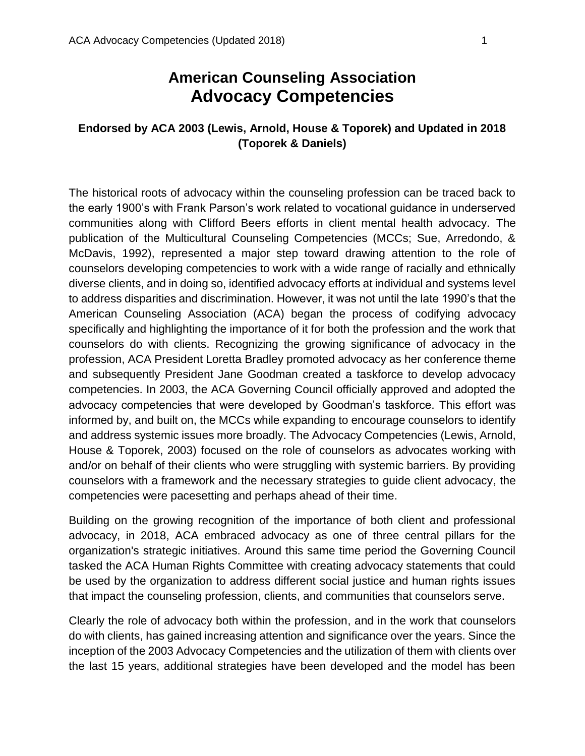# **American Counseling Association Advocacy Competencies**

## **Endorsed by ACA 2003 (Lewis, Arnold, House & Toporek) and Updated in 2018 (Toporek & Daniels)**

The historical roots of advocacy within the counseling profession can be traced back to the early 1900's with Frank Parson's work related to vocational guidance in underserved communities along with Clifford Beers efforts in client mental health advocacy. The publication of the Multicultural Counseling Competencies (MCCs; Sue, Arredondo, & McDavis, 1992), represented a major step toward drawing attention to the role of counselors developing competencies to work with a wide range of racially and ethnically diverse clients, and in doing so, identified advocacy efforts at individual and systems level to address disparities and discrimination. However, it was not until the late 1990's that the American Counseling Association (ACA) began the process of codifying advocacy specifically and highlighting the importance of it for both the profession and the work that counselors do with clients. Recognizing the growing significance of advocacy in the profession, ACA President Loretta Bradley promoted advocacy as her conference theme and subsequently President Jane Goodman created a taskforce to develop advocacy competencies. In 2003, the ACA Governing Council officially approved and adopted the advocacy competencies that were developed by Goodman's taskforce. This effort was informed by, and built on, the MCCs while expanding to encourage counselors to identify and address systemic issues more broadly. The Advocacy Competencies (Lewis, Arnold, House & Toporek, 2003) focused on the role of counselors as advocates working with and/or on behalf of their clients who were struggling with systemic barriers. By providing counselors with a framework and the necessary strategies to guide client advocacy, the competencies were pacesetting and perhaps ahead of their time.

Building on the growing recognition of the importance of both client and professional advocacy, in 2018, ACA embraced advocacy as one of three central pillars for the organization's strategic initiatives. Around this same time period the Governing Council tasked the ACA Human Rights Committee with creating advocacy statements that could be used by the organization to address different social justice and human rights issues that impact the counseling profession, clients, and communities that counselors serve.

Clearly the role of advocacy both within the profession, and in the work that counselors do with clients, has gained increasing attention and significance over the years. Since the inception of the 2003 Advocacy Competencies and the utilization of them with clients over the last 15 years, additional strategies have been developed and the model has been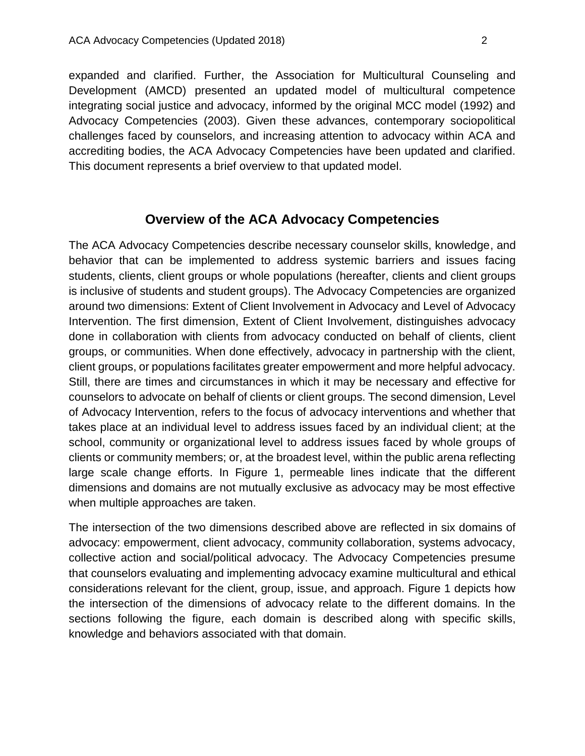expanded and clarified. Further, the Association for Multicultural Counseling and Development (AMCD) presented an updated model of multicultural competence integrating social justice and advocacy, informed by the original MCC model (1992) and Advocacy Competencies (2003). Given these advances, contemporary sociopolitical challenges faced by counselors, and increasing attention to advocacy within ACA and accrediting bodies, the ACA Advocacy Competencies have been updated and clarified. This document represents a brief overview to that updated model.

## **Overview of the ACA Advocacy Competencies**

The ACA Advocacy Competencies describe necessary counselor skills, knowledge, and behavior that can be implemented to address systemic barriers and issues facing students, clients, client groups or whole populations (hereafter, clients and client groups is inclusive of students and student groups). The Advocacy Competencies are organized around two dimensions: Extent of Client Involvement in Advocacy and Level of Advocacy Intervention. The first dimension, Extent of Client Involvement, distinguishes advocacy done in collaboration with clients from advocacy conducted on behalf of clients, client groups, or communities. When done effectively, advocacy in partnership with the client, client groups, or populations facilitates greater empowerment and more helpful advocacy. Still, there are times and circumstances in which it may be necessary and effective for counselors to advocate on behalf of clients or client groups. The second dimension, Level of Advocacy Intervention, refers to the focus of advocacy interventions and whether that takes place at an individual level to address issues faced by an individual client; at the school, community or organizational level to address issues faced by whole groups of clients or community members; or, at the broadest level, within the public arena reflecting large scale change efforts. In Figure 1, permeable lines indicate that the different dimensions and domains are not mutually exclusive as advocacy may be most effective when multiple approaches are taken.

The intersection of the two dimensions described above are reflected in six domains of advocacy: empowerment, client advocacy, community collaboration, systems advocacy, collective action and social/political advocacy. The Advocacy Competencies presume that counselors evaluating and implementing advocacy examine multicultural and ethical considerations relevant for the client, group, issue, and approach. Figure 1 depicts how the intersection of the dimensions of advocacy relate to the different domains. In the sections following the figure, each domain is described along with specific skills, knowledge and behaviors associated with that domain.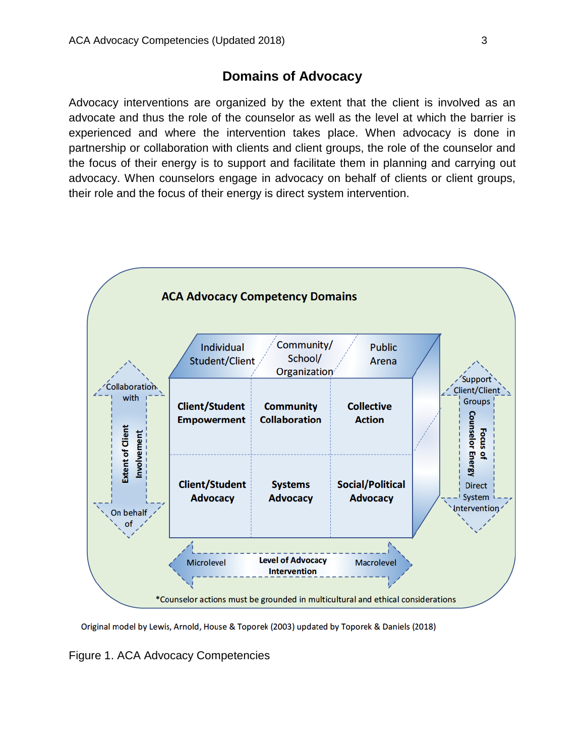# **Domains of Advocacy**

Advocacy interventions are organized by the extent that the client is involved as an advocate and thus the role of the counselor as well as the level at which the barrier is experienced and where the intervention takes place. When advocacy is done in partnership or collaboration with clients and client groups, the role of the counselor and the focus of their energy is to support and facilitate them in planning and carrying out advocacy. When counselors engage in advocacy on behalf of clients or client groups, their role and the focus of their energy is direct system intervention.



Original model by Lewis, Arnold, House & Toporek (2003) updated by Toporek & Daniels (2018)

Figure 1. ACA Advocacy Competencies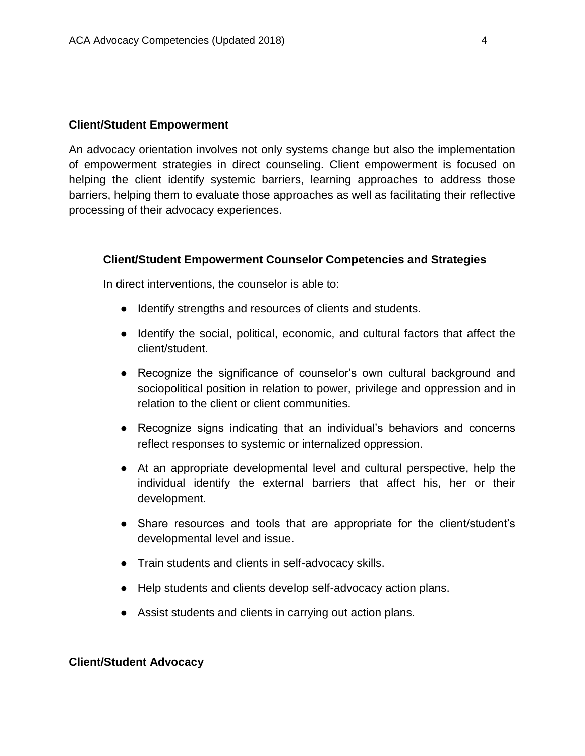#### **Client/Student Empowerment**

An advocacy orientation involves not only systems change but also the implementation of empowerment strategies in direct counseling. Client empowerment is focused on helping the client identify systemic barriers, learning approaches to address those barriers, helping them to evaluate those approaches as well as facilitating their reflective processing of their advocacy experiences.

#### **Client/Student Empowerment Counselor Competencies and Strategies**

In direct interventions, the counselor is able to:

- Identify strengths and resources of clients and students.
- Identify the social, political, economic, and cultural factors that affect the client/student.
- Recognize the significance of counselor's own cultural background and sociopolitical position in relation to power, privilege and oppression and in relation to the client or client communities.
- Recognize signs indicating that an individual's behaviors and concerns reflect responses to systemic or internalized oppression.
- At an appropriate developmental level and cultural perspective, help the individual identify the external barriers that affect his, her or their development.
- Share resources and tools that are appropriate for the client/student's developmental level and issue.
- Train students and clients in self-advocacy skills.
- Help students and clients develop self-advocacy action plans.
- Assist students and clients in carrying out action plans.

#### **Client/Student Advocacy**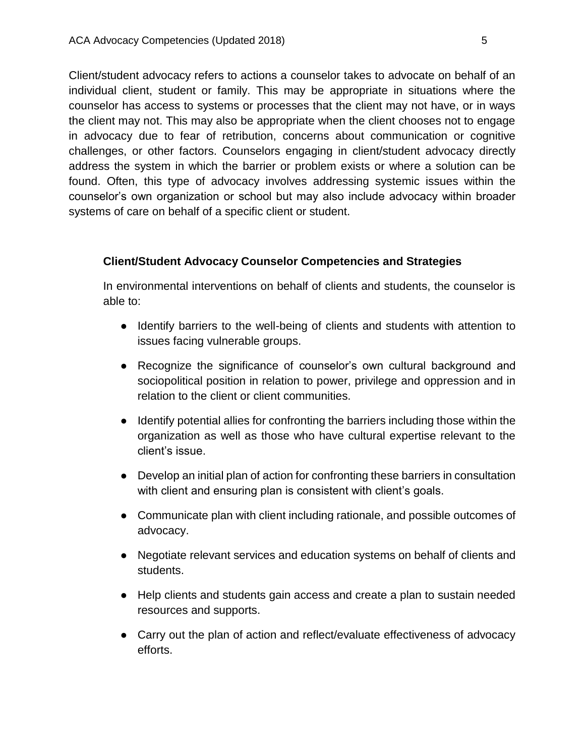Client/student advocacy refers to actions a counselor takes to advocate on behalf of an individual client, student or family. This may be appropriate in situations where the counselor has access to systems or processes that the client may not have, or in ways the client may not. This may also be appropriate when the client chooses not to engage in advocacy due to fear of retribution, concerns about communication or cognitive challenges, or other factors. Counselors engaging in client/student advocacy directly address the system in which the barrier or problem exists or where a solution can be found. Often, this type of advocacy involves addressing systemic issues within the counselor's own organization or school but may also include advocacy within broader systems of care on behalf of a specific client or student.

#### **Client/Student Advocacy Counselor Competencies and Strategies**

In environmental interventions on behalf of clients and students, the counselor is able to:

- Identify barriers to the well-being of clients and students with attention to issues facing vulnerable groups.
- Recognize the significance of counselor's own cultural background and sociopolitical position in relation to power, privilege and oppression and in relation to the client or client communities.
- Identify potential allies for confronting the barriers including those within the organization as well as those who have cultural expertise relevant to the client's issue.
- Develop an initial plan of action for confronting these barriers in consultation with client and ensuring plan is consistent with client's goals.
- Communicate plan with client including rationale, and possible outcomes of advocacy.
- Negotiate relevant services and education systems on behalf of clients and students.
- Help clients and students gain access and create a plan to sustain needed resources and supports.
- Carry out the plan of action and reflect/evaluate effectiveness of advocacy efforts.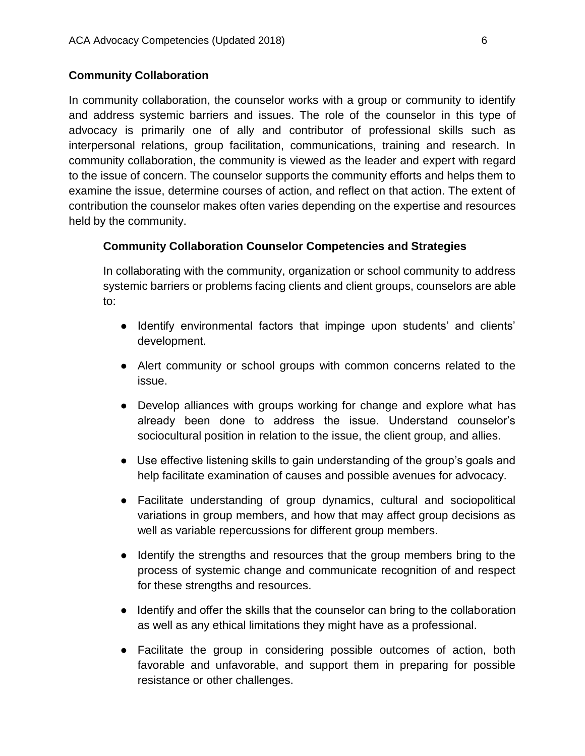## **Community Collaboration**

In community collaboration, the counselor works with a group or community to identify and address systemic barriers and issues. The role of the counselor in this type of advocacy is primarily one of ally and contributor of professional skills such as interpersonal relations, group facilitation, communications, training and research. In community collaboration, the community is viewed as the leader and expert with regard to the issue of concern. The counselor supports the community efforts and helps them to examine the issue, determine courses of action, and reflect on that action. The extent of contribution the counselor makes often varies depending on the expertise and resources held by the community.

## **Community Collaboration Counselor Competencies and Strategies**

In collaborating with the community, organization or school community to address systemic barriers or problems facing clients and client groups, counselors are able to:

- Identify environmental factors that impinge upon students' and clients' development.
- Alert community or school groups with common concerns related to the issue.
- Develop alliances with groups working for change and explore what has already been done to address the issue. Understand counselor's sociocultural position in relation to the issue, the client group, and allies.
- Use effective listening skills to gain understanding of the group's goals and help facilitate examination of causes and possible avenues for advocacy.
- Facilitate understanding of group dynamics, cultural and sociopolitical variations in group members, and how that may affect group decisions as well as variable repercussions for different group members.
- Identify the strengths and resources that the group members bring to the process of systemic change and communicate recognition of and respect for these strengths and resources.
- Identify and offer the skills that the counselor can bring to the collaboration as well as any ethical limitations they might have as a professional.
- Facilitate the group in considering possible outcomes of action, both favorable and unfavorable, and support them in preparing for possible resistance or other challenges.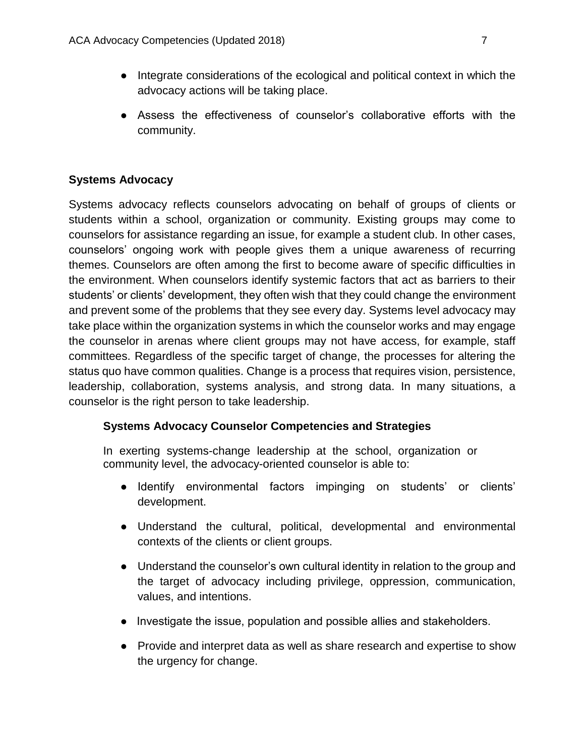- Integrate considerations of the ecological and political context in which the advocacy actions will be taking place.
- Assess the effectiveness of counselor's collaborative efforts with the community.

## **Systems Advocacy**

Systems advocacy reflects counselors advocating on behalf of groups of clients or students within a school, organization or community. Existing groups may come to counselors for assistance regarding an issue, for example a student club. In other cases, counselors' ongoing work with people gives them a unique awareness of recurring themes. Counselors are often among the first to become aware of specific difficulties in the environment. When counselors identify systemic factors that act as barriers to their students' or clients' development, they often wish that they could change the environment and prevent some of the problems that they see every day. Systems level advocacy may take place within the organization systems in which the counselor works and may engage the counselor in arenas where client groups may not have access, for example, staff committees. Regardless of the specific target of change, the processes for altering the status quo have common qualities. Change is a process that requires vision, persistence, leadership, collaboration, systems analysis, and strong data. In many situations, a counselor is the right person to take leadership.

## **Systems Advocacy Counselor Competencies and Strategies**

In exerting systems-change leadership at the school, organization or community level, the advocacy-oriented counselor is able to:

- Identify environmental factors impinging on students' or clients' development.
- Understand the cultural, political, developmental and environmental contexts of the clients or client groups.
- Understand the counselor's own cultural identity in relation to the group and the target of advocacy including privilege, oppression, communication, values, and intentions.
- Investigate the issue, population and possible allies and stakeholders.
- Provide and interpret data as well as share research and expertise to show the urgency for change.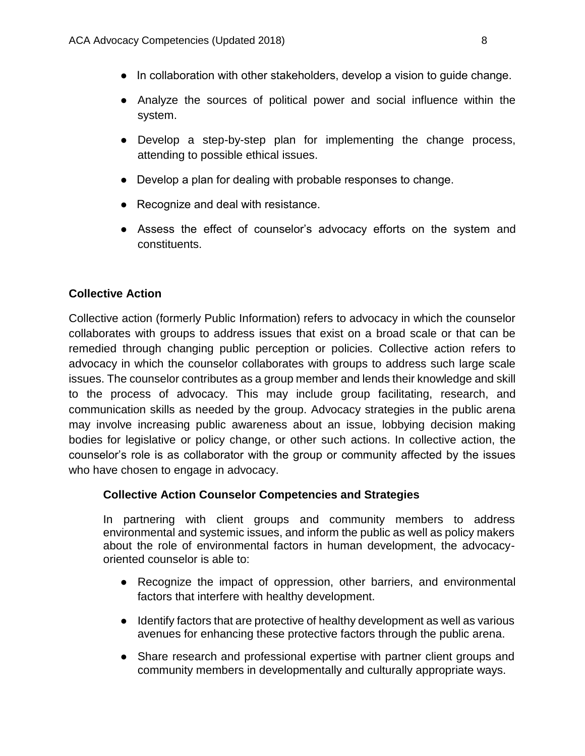- In collaboration with other stakeholders, develop a vision to quide change.
- Analyze the sources of political power and social influence within the system.
- Develop a step-by-step plan for implementing the change process, attending to possible ethical issues.
- Develop a plan for dealing with probable responses to change.
- Recognize and deal with resistance.
- Assess the effect of counselor's advocacy efforts on the system and constituents.

## **Collective Action**

Collective action (formerly Public Information) refers to advocacy in which the counselor collaborates with groups to address issues that exist on a broad scale or that can be remedied through changing public perception or policies. Collective action refers to advocacy in which the counselor collaborates with groups to address such large scale issues. The counselor contributes as a group member and lends their knowledge and skill to the process of advocacy. This may include group facilitating, research, and communication skills as needed by the group. Advocacy strategies in the public arena may involve increasing public awareness about an issue, lobbying decision making bodies for legislative or policy change, or other such actions. In collective action, the counselor's role is as collaborator with the group or community affected by the issues who have chosen to engage in advocacy.

## **Collective Action Counselor Competencies and Strategies**

In partnering with client groups and community members to address environmental and systemic issues, and inform the public as well as policy makers about the role of environmental factors in human development, the advocacyoriented counselor is able to:

- Recognize the impact of oppression, other barriers, and environmental factors that interfere with healthy development.
- Identify factors that are protective of healthy development as well as various avenues for enhancing these protective factors through the public arena.
- Share research and professional expertise with partner client groups and community members in developmentally and culturally appropriate ways.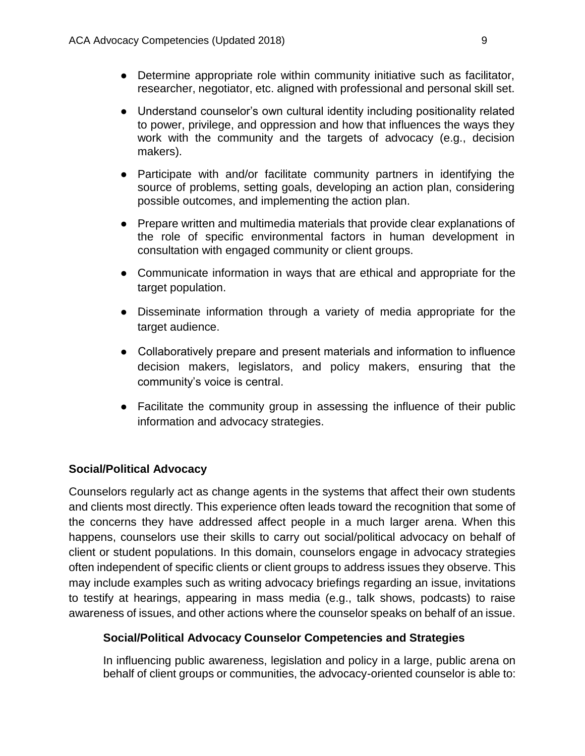- Determine appropriate role within community initiative such as facilitator, researcher, negotiator, etc. aligned with professional and personal skill set.
- Understand counselor's own cultural identity including positionality related to power, privilege, and oppression and how that influences the ways they work with the community and the targets of advocacy (e.g., decision makers).
- Participate with and/or facilitate community partners in identifying the source of problems, setting goals, developing an action plan, considering possible outcomes, and implementing the action plan.
- Prepare written and multimedia materials that provide clear explanations of the role of specific environmental factors in human development in consultation with engaged community or client groups.
- Communicate information in ways that are ethical and appropriate for the target population.
- Disseminate information through a variety of media appropriate for the target audience.
- Collaboratively prepare and present materials and information to influence decision makers, legislators, and policy makers, ensuring that the community's voice is central.
- Facilitate the community group in assessing the influence of their public information and advocacy strategies.

## **Social/Political Advocacy**

Counselors regularly act as change agents in the systems that affect their own students and clients most directly. This experience often leads toward the recognition that some of the concerns they have addressed affect people in a much larger arena. When this happens, counselors use their skills to carry out social/political advocacy on behalf of client or student populations. In this domain, counselors engage in advocacy strategies often independent of specific clients or client groups to address issues they observe. This may include examples such as writing advocacy briefings regarding an issue, invitations to testify at hearings, appearing in mass media (e.g., talk shows, podcasts) to raise awareness of issues, and other actions where the counselor speaks on behalf of an issue.

#### **Social/Political Advocacy Counselor Competencies and Strategies**

In influencing public awareness, legislation and policy in a large, public arena on behalf of client groups or communities, the advocacy-oriented counselor is able to: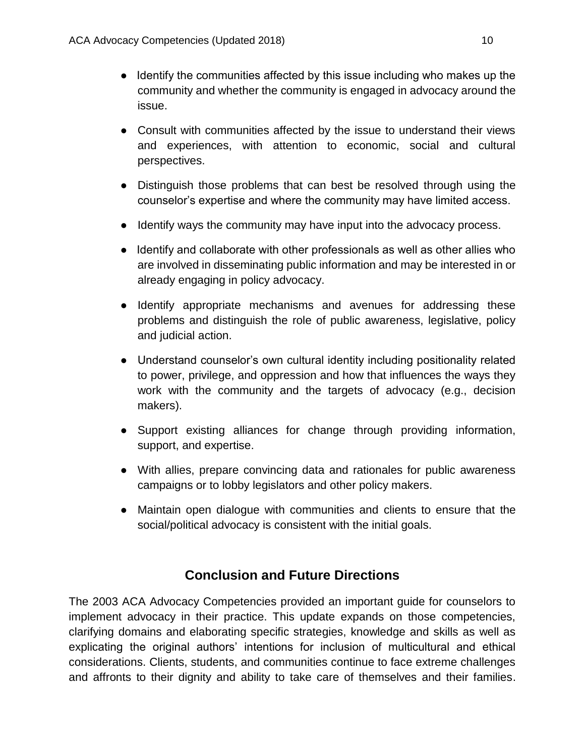- Identify the communities affected by this issue including who makes up the community and whether the community is engaged in advocacy around the issue.
- Consult with communities affected by the issue to understand their views and experiences, with attention to economic, social and cultural perspectives.
- Distinguish those problems that can best be resolved through using the counselor's expertise and where the community may have limited access.
- Identify ways the community may have input into the advocacy process.
- Identify and collaborate with other professionals as well as other allies who are involved in disseminating public information and may be interested in or already engaging in policy advocacy.
- Identify appropriate mechanisms and avenues for addressing these problems and distinguish the role of public awareness, legislative, policy and judicial action.
- Understand counselor's own cultural identity including positionality related to power, privilege, and oppression and how that influences the ways they work with the community and the targets of advocacy (e.g., decision makers).
- Support existing alliances for change through providing information, support, and expertise.
- With allies, prepare convincing data and rationales for public awareness campaigns or to lobby legislators and other policy makers.
- Maintain open dialogue with communities and clients to ensure that the social/political advocacy is consistent with the initial goals.

# **Conclusion and Future Directions**

The 2003 ACA Advocacy Competencies provided an important guide for counselors to implement advocacy in their practice. This update expands on those competencies, clarifying domains and elaborating specific strategies, knowledge and skills as well as explicating the original authors' intentions for inclusion of multicultural and ethical considerations. Clients, students, and communities continue to face extreme challenges and affronts to their dignity and ability to take care of themselves and their families.